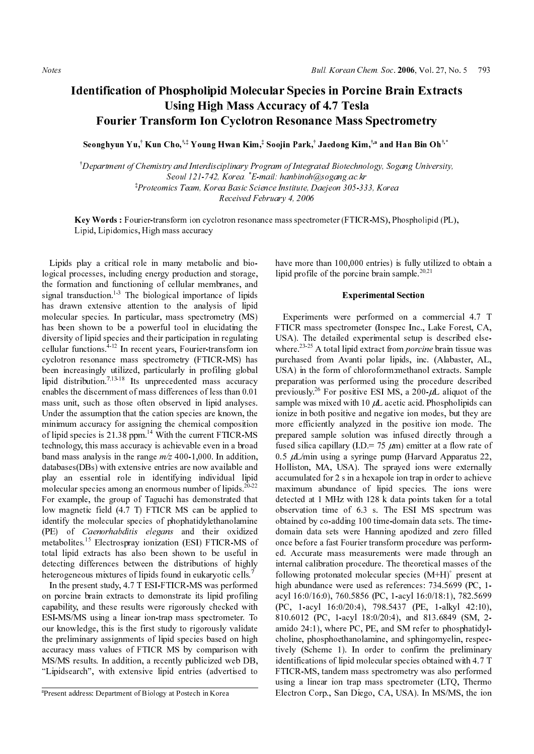# Identification of Phospholipid Molecular Species in Porcine Brain Extracts Using High Mass Accuracy of 4.7 Tesla Fourier Transform Ion Cyclotron Resonance Mass Spectrometry **hospholipid Mol<br>Using High Mas:<br>sform Ion Cyclo<br>Cho,<sup>†.‡</sup> Young Hwan Ki<br>y and Interdisciplinary<br>Seoul 121-742, Korea. \***

Department of Chemistry and Interdisciplinary Program of Integrated Biotechnology, Sogang University, Seoul 121-742, Korea. \*E-mail: hanbinoh@sogang.ac.kr \*Proteomics Team, Korea Basic Science Institute, Daejeon 305-333, Korea Received February 4, 2006

Key Words: Fourier-transform ion cyclotron resonance mass spectrometer (FTICR-MS), Phospholipid (PL), Lipid, Lipidomics, High mass accuracy

**Seonghyun Yu**,<br> *Separtment of C.*<br>  $\begin{aligned}\n \text{The equation of } \mathcal{L} \\
 \text{The equation of } \mathcal{L} \\
 \text{The equation of } \mathcal{L} \\
 \text{The equation of } \mathcal{L} \\
 \text{The equation of } \mathcal{L} \\
 \text{The equation of } \mathcal{L} \\
 \text{The equation of } \mathcal{L} \\
 \text{The equation of } \mathcal{L} \\
 \text{The equation of } \mathcal{L} \\
 \text{The equation of } \mathcal{L} \\
 \text{The equation of } \mathcal{L} \\
 \text{The equation of } \mathcal{L} \\
 \text{The equation of } \math$ **Kun Cho,**<sup>\*\*</sup> **Young Hwan Kim**,\*<br> *hemistry and Interdisciplinary Pro,*<br> *Seoul 121-742, Korea.*<sup>\*</sup>*E-m*<br> *Receremics Team, Korea and <i>Received Fel*<br> *Receremics Team, Korea and <i>Received Fel*<br> **er**-transform ion cyclotr  $-1$ <sub>c</sub>,  $-1$ <sub>c</sub>,  $-1$ <sub>c</sub>,  $-1$ <sub>c</sub>,  $-1$ <sub>c</sub>,  $-1$ <sub>c</sub>,  $-1$ <sub>c</sub>,  $-1$ <sub>c</sub>,  $-1$ <sub>c</sub>,  $-1$ <sub>c</sub>,  $-1$ <sub>c</sub>,  $-1$ <sub>c</sub>,  $-1$  conduction and functioning of cellular menns<br>duction.<sup>1,3</sup> The biological importar<br>are metxness extertion to Lipids play a critical role in many metabolic and biological processes, including energy production and storage, the formation and functioning of cellular membranes, and signal transduction.<sup>1-3</sup> The biological importance of lipids has drawn extensive attention to the analysis of lipid molecular species. In particular, mass spectrometry (MS) has been shown to be a powerful tool in elucidating the diversity of lipid species and their participation in regulating cellular functions.<sup>4-12</sup> In recent years, Fourier-transform ion cyclotron resonance mass spectrometry (FTICR-MS) has been increasingly utilized, particularly in profiling global lipid distribution.<sup>7,13-18</sup> Its unprecedented mass accuracy enables the discernment of mass differences of less than 0.01 mass unit, such as those often observed in lipid analyses. Under the assumption that the cation species are known, the minimum accuracy for assigning the chemical composition of lipid species is 21.38 ppm.<sup>14</sup> With the current FTICR-MS technology, this mass accuracy is achievable even in a broad band mass analysis in the range  $m/z$  400-1,000. In addition. band mass analysis in the range  $m/z$  400-1,000. In addition,<br>databases(DBs) with extensive entries are now available and<br>play an essential role in identifying individual lipid<br>molecular species among an enormous number of databases(DBs) with extensive entries are now available and play an essential role in identifying individual lipid molecular species among an enormous number of lipids. $20-22$ For example, the group of Taguchi has demonstrated that low magnetic field (4.7 T) FTICR MS can be applied to identify the molecular species of phophatidylethanolamine (PE) of *Caenorhabditis* elegans and their oxidized metabolites.15 Electrospray ionization (ESI) FTICR-MS of total lipid extracts has also been shown to be useful in detecting differences between the distributions of highly heterogeneous mixtures of lipids found in eukaryotic cells.<sup>7</sup>

(PE) of *Caenorhabditis elegans* and their oxidized metabolites.<sup>15</sup> Electrospray ionization (ESI) FTICR-MS of total lipid extracts has also been shown to be useful in detecting differences between the distributions of h In the present study, 4.7 T ESI-FTICR-MS was performed on porcine brain extracts to demonstrate its lipid profiling capability, and these results were rigorously checked with ESI-MS/MS using a linear ion-trap mass spectrometer. To our knowledge, this is the first study to rigorously validate the preliminary assignments of lipid species based on high accuracy mass values of FTICR MS by comparison with MS/MS results. In addition, a recently publicized web DB, "Lipidsearch", with extensive lipid entries (advertised to

have more than 100,000 entries) is fully utilized to obtain a lipid profile of the porcine brain sample.<sup>20,21</sup>

# Experimental Section

Soojin Park,<br>
gram of Integral:<br>
handic handinoh(nce Institute, L<br>
bruary 4, 2006<br>
ce mass spectr<br>
have more<br>
lipid profile<br>
there.<sup>23-25</sup><br>
purchased<br>
USA). The<br>
where.<sup>23-25</sup><br>
purchased<br>
USA) in the preparation<br>
previous **Jaedong Kim,** "**and Han Bin Oh** "<br>*ated Biotechnology, Sogang University*<br>*ated Biotechnology, Sogang University*<br>*asogang ac.kr*<br>*deejeon 305-333, Korea*<br>**ometer (FTICR-MS), Phospholipid (PI**<br>than 100,000 entries) is fu Lipsi, Lipsicans is inter-<br>transformation in the system of the system in the system in the system in the system in the system in the system in the system in the system in the system in the system in the system in the syst Experiments were performed on a commercial 4.7 T FTICR mass spectrometer (Ionspec Inc., Lake Forest, CA, USA). The detailed experimental setup is described else-<br>where.<sup>23-25</sup> A total lipid extract from *porcine* brain tissue was where.<sup>23-25</sup> A total lipid extract from *porcine* brain tissue was<br>purchased from Avanti polar lipids, inc. (Alabaster, AL,<br>USA) in the form of chloroform:methanol extracts. Sample<br>preparation was performed using the pro purchased from Avanti polar lipids, inc. (Alabaster, AL, USA) in the form of chloroform:methanol extracts. Sample preparation was performed using the procedure described previously.<sup>26</sup> For positive ESI MS, a 200- $\mu$ L aliquot of the sample was mixed with 10  $\mu$ L acetic acid. Phospholipids can ionize in both positive and negative ion modes, but they are more efficiently analyzed in the positive ion mode. The prepared sample solution was infused directly through a fused silica capillary (I.D.= 75  $\mu$ m) emitter at a flow rate of 0.5  $\mu$ L/min using a syringe pump (Harvard Apparatus 22, Holliston, MA, USA). The sprayed ions were externally accumulated for 2 s in a hexapole ion trap in order to achieve maximum abundance of lipid species. The ions were detected at 1 MHz with 128 k data points taken for a total observation time of 6.3 s. The ESI MS spectrum was obtained by co-adding 100 time-domain data sets. The timedomain data sets were Hanning apodized and zero filled once before a fast Fourier transform procedure was performed. Accurate mass measurements were made through an internal calibration procedure. The theoretical masses of the following protonated molecular species  $(M+H)^+$  present at high abundance were used as references: 734.5699 (PC, 1acyl 16:0/16:0), 760.5856 (PC, 1-acyl 16:0/18:1), 782.5699 (PC, 1-acyl 16:0/20:4), 798.5437 (PE, 1-alkyl 42:10), 810.6012 (PC, 1-acyl 18:0/20:4), and 813.6849 (SM, 2 amido 24:1), where PC, PE, and SM refer to phosphatidylcholine, phosphoethanolamine, and sphingomyelin, respectively (Scheme 1). In order to confirm the preliminary identifications of lipid molecular species obtained with 4.7 T FTICR-MS, tandem mass spectrometry was also performed using a linear ion trap mass spectrometer (LTQ, Thermo Electron Corp., San Diego, CA, USA). In MS/MS, the ion

Present address: Department of Biology at Postech in Korea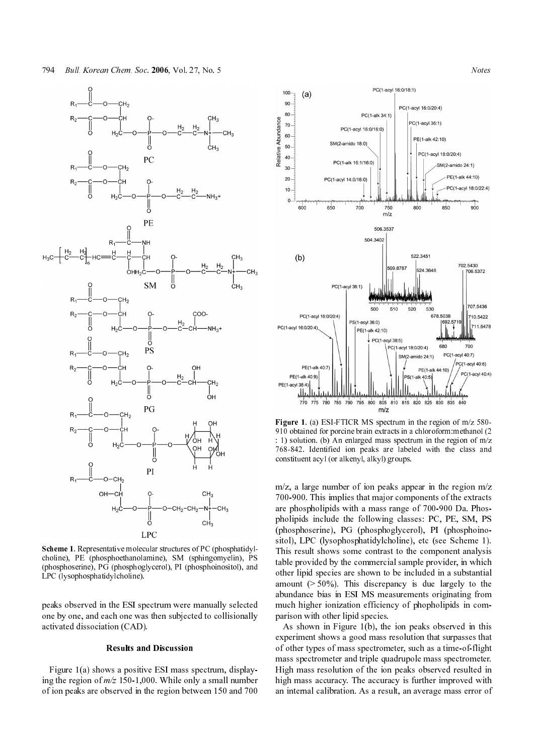

Scheme 1. Representative molecular structures of PC (phosphatidyl-**Scheme 1**. Representative molecular structures of PC (phosphatidyl-choline), PE (phosphoethanolamine), SM (sphingomyelin), PS (phosphoserine), PG (phosphoglycerol), PI (phosphoinositol), and LPC (lysophosphatidylcholine) choline), PE (phosphoethanolamine), SM (sphingomyelin), PS (phosphoserine), PG (phosphoglycerol), PI (phosphoinositol), and LPC (lysophosphatidylcholine).

peaks observed in the ESI spectrum were manually selected one by one, and each one was then subjected to collisionally activated dissociation (CAD).

## Results and Discussion

Figure 1(a) shows a positive ESI mass spectrum, displaying the region of  $m/z$  150-1,000. While only a small number of ion peaks are observed in the region between 150 and 700



**Figure 1.** (a) ESI-FTICR MS spectrum in the region of  $m/z$  580-910 obtained for porcine brain extracts in a chloroform:methanol (2 : 1) solution. (b) An enlarged mass spectrum in the region of m/z 768-842. Identified ion peaks are labeled with the class and constituent acyl (or alkenyl, alkyl) groups.

m/z, a large number of ion peaks appear in the region m/z 700-900. This implies that major components of the extracts are phospholipids with a mass range of 700-900 Da. Phospholipids include the following classes: PC, PE, SM, PS (phosphoserine), PG (phosphoglycerol), PI (phosphoinositol), LPC (lysophosphatidylcholine), etc (see Scheme 1). This result shows some contrast to the component analysis table provided by the commercial sample provider, in which other lipid species are shown to be included in a substantial amount  $($  > 50%). This discrepancy is due largely to the abundance bias in ESI MS measurements originating from much higher ionization efficiency of phopholipids in comparison with other lipid species. Figure 1. (a) ESI-FTICR MS spectrum in the region of m/z 580-<br>Pigure 1. (a) ESI-FTICR MS spectrum in the region of m/z 580-<br>
9.10 obtained for porticle brain extracts in a chloroform:methanol (2)<br>
1. 1) solution. (b) An e

As shown in Figure 1(b), the ion peaks observed in this experiment shows a good mass resolution that surpasses that of other types of mass spectrometer, such as a time-of-flight mass spectrometer and triple quadrupole mass spectrometer. High mass resolution of the ion peaks observed resulted in high mass accuracy. The accuracy is further improved with an internal calibration. As a result, an average mass error of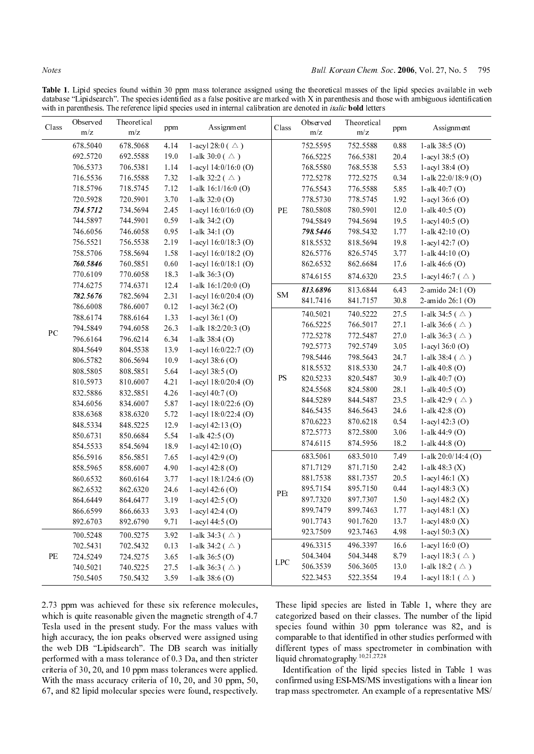|       |                      |                      | . . rr.      | database "Lipidsearch". The species identified as a false positive are marked with X in parenthesis and those with ambiguous identification<br>with in parenthesis. The reference lipid species used in internal calibration are denoted in <i>italic</i> bold letters |                                 |                      |                                               |                  |                                                                                                                          |
|-------|----------------------|----------------------|--------------|------------------------------------------------------------------------------------------------------------------------------------------------------------------------------------------------------------------------------------------------------------------------|---------------------------------|----------------------|-----------------------------------------------|------------------|--------------------------------------------------------------------------------------------------------------------------|
| Class | Observed<br>m/z      | Theoretical<br>m/z   | ppm          | Assignment                                                                                                                                                                                                                                                             | Class                           | Observed<br>m/z      | Theoretical<br>$\rm m/z$                      | ppm              | Assignment                                                                                                               |
|       | 678.5040             | 678.5068             | 4.14         | 1-acyl 28:0 ( $\triangle$ )                                                                                                                                                                                                                                            |                                 | 752.5595             | 752.5588                                      | 0.88             | 1-alk $38:5$ (O)                                                                                                         |
|       | 692.5720<br>706.5373 | 692.5588<br>706.5381 | 19.0<br>1.14 | 1-alk 30:0 ( $\triangle$ )<br>1-acyl 14:0/16:0 (O)                                                                                                                                                                                                                     |                                 | 766.5225<br>768.5580 | 766.5381<br>768.5538                          | 20.4<br>5.53     | 1-acyl $38:5$ (O)<br>$1 - acyl 38:4$ (O)                                                                                 |
|       | 716.5536<br>718.5796 | 716.5588<br>718.5745 | 7.32<br>7.12 | 1-alk 32:2 ( $\triangle$ )<br>1-alk $16:1/16:0$ (O)                                                                                                                                                                                                                    |                                 | 772.5278<br>776.5543 | 772.5275<br>776.5588                          | 0.34<br>5.85     | 1-alk 22:0/18:9 (O)<br>1-alk $40:7(0)$                                                                                   |
|       | 720.5928<br>734.5712 | 720.5901<br>734.5694 | 3.70<br>2.45 | 1-alk $32:0$ (O)<br>1-acyl 16:0/16:0 (O)                                                                                                                                                                                                                               | PE                              | 778.5730<br>780.5808 | 778.5745<br>780.5901                          | 1.92<br>$12.0\,$ | 1-acyl $36:6$ (O)<br>1-alk $40:5$ (O)                                                                                    |
|       | 744.5897<br>746.6056 | 744.5901<br>746.6058 | 0.59<br>0.95 | 1-alk $34:2$ (O)<br>1-alk $34:1(O)$                                                                                                                                                                                                                                    |                                 | 794.5849<br>798.5446 | 794.5694<br>798.5432                          | 19.5<br>1.77     | $1 - acyl 40:5$ (O)<br>1-alk $42:10(0)$                                                                                  |
|       | 756.5521<br>758.5706 | 756.5538<br>758.5694 | 2.19<br>1.58 | 1-acyl $16:0/18:3$ (O)<br>1-acyl $16:0/18:2$ (O)                                                                                                                                                                                                                       |                                 | 818.5532<br>826.5776 | 818.5694<br>826.5745                          | 19.8<br>3.77     | $1 - acyl 42:7 (O)$<br>1-alk $44:10(0)$                                                                                  |
|       | 760.5846<br>770.6109 | 760.5851<br>770.6058 | 0.60<br>18.3 | 1-acyl 16:0/18:1 (O)<br>1-alk $36:3$ (O)                                                                                                                                                                                                                               |                                 | 862.6532<br>874.6155 | 862.6684<br>874.6320                          | 17.6<br>23.5     | 1-alk $46.6$ (O)<br>1-acyl 46:7 ( $\triangle$ )                                                                          |
|       | 774.6275<br>782.5676 | 774.6371<br>782.5694 | 12.4<br>2.31 | 1-alk 16:1/20:0 (O)<br>1-acyl $16:0/20:4$ (O)                                                                                                                                                                                                                          | <b>SM</b>                       | 813.6896             | 813.6844                                      | 6.43             | 2-amido $24:1$ (O)                                                                                                       |
|       | 786.6008             | 786.6007             | 0.12         | 1-acyl $36:2$ (O)                                                                                                                                                                                                                                                      |                                 | 841.7416<br>740.5021 | 841.7157<br>740.5222                          | 30.8<br>27.5     | 2-amido 26:1 (O)<br>1-alk 34:5 ( $\triangle$ )                                                                           |
| PC    | 788.6174<br>794.5849 | 788.6164<br>794.6058 | 1.33<br>26.3 | $1 - acyl 36:1 (O)$<br>1-alk 18:2/20:3 (O)                                                                                                                                                                                                                             |                                 | 766.5225<br>772.5278 | 766.5017<br>772.5487                          | 27.1<br>27.0     | 1-alk 36:6 ( $\triangle$ )<br>1-alk 36:3 ( $\triangle$ )                                                                 |
|       | 796.6164<br>804.5649 | 796.6214<br>804.5538 | 6.34<br>13.9 | 1-alk $38:4$ (O)<br>1-acyl $16:0/22:7$ (O)                                                                                                                                                                                                                             |                                 | 792.5773             | 792.5749                                      | 3.05             | $1 - acyl 36:0$ (O)                                                                                                      |
|       | 806.5782<br>808.5805 | 806.5694<br>808.5851 | 10.9<br>5.64 | 1-acyl $38:6$ (O)<br>1-acyl 38:5 (O)                                                                                                                                                                                                                                   |                                 | 798.5446<br>818.5532 | 798.5643<br>818.5330                          | 24.7<br>24.7     | 1-alk 38:4 ( $\triangle$ )<br>1-alk $40:8$ (O)                                                                           |
|       | 810.5973<br>832.5886 | 810.6007<br>832.5851 | 4.21<br>4.26 | 1-acyl 18:0/20:4 (O)<br>$1 - acyl 40:7$ (O)                                                                                                                                                                                                                            | $\mathbf{P}\mathbf{S}$          | 820.5233<br>824.5568 | 820.5487<br>824.5800                          | 30.9<br>28.1     | 1-alk $40:7(0)$<br>1-alk $40.5$ (O)                                                                                      |
|       | 834.6056<br>838.6368 | 834.6007<br>838.6320 | 5.87<br>5.72 | 1-acyl 18:0/22:6 (O)<br>1-acyl $18:0/22:4$ (O)                                                                                                                                                                                                                         |                                 | 844.5289<br>846.5435 | 844.5487<br>846.5643                          | 23.5<br>24.6     | 1-alk 42:9 ( $\triangle$ )<br>1-alk $42:8$ (O)                                                                           |
|       | 848.5334<br>850.6731 | 848.5225<br>850.6684 | 12.9<br>5.54 | $1 - acyl 42:13$ (O)<br>1-alk $42:5$ (O)                                                                                                                                                                                                                               |                                 | 870.6223<br>872.5773 | 870.6218<br>872.5800                          | 0.54<br>3.06     | $1 - acyl 42:3$ (O)<br>1-alk $44:9$ (O)                                                                                  |
|       | 854.5533             | 854.5694             | 18.9         | $1 - acyl 42:10 (O)$                                                                                                                                                                                                                                                   |                                 | 874.6115<br>683.5061 | 874.5956<br>683.5010                          | 18.2<br>7.49     | 1-alk $44:8$ (O)<br>1-alk 20:0/14:4 (O)                                                                                  |
|       | 856.5916<br>858.5965 | 856.5851<br>858.6007 | 7.65<br>4.90 | $1 - acyl 42:9$ (O)<br>1-acyl $42:8$ (O)                                                                                                                                                                                                                               |                                 | 871.7129             | 871.7150<br>881.7357                          | 2.42<br>20.5     | 1-alk 48:3 $(X)$                                                                                                         |
|       | 860.6532<br>862.6532 | 860.6164<br>862.6320 | 3.77<br>24.6 | 1-acyl $18:1/24:6$ (O)<br>1-acyl $42:6$ (O)                                                                                                                                                                                                                            | $\ensuremath{\mathop{\rm PEt}}$ | 881.7538<br>895.7154 | 895.7150                                      | 0.44             | 1-acyl 46:1 $(X)$<br>$1 - acyl 48:3(X)$                                                                                  |
|       | 864.6449<br>866.6599 | 864.6477<br>866.6633 | 3.19<br>3.93 | 1-acyl 42:5 $(O)$<br>1-acyl $42:4$ (O)                                                                                                                                                                                                                                 |                                 | 897.7320<br>899.7479 | 897.7307<br>899.7463                          | 1.50<br>1.77     | 1-acyl $48:2(X)$<br>$1 - acyl 48:1 (X)$                                                                                  |
|       | 892.6703<br>700.5248 | 892.6790<br>700.5275 | 9.71<br>3.92 | 1-acyl 44:5 $(O)$<br>1-alk 34:3 ( $\triangle$ )                                                                                                                                                                                                                        |                                 | 901.7743<br>923.7509 | 901.7620<br>923.7463                          | 13.7<br>4.98     | $1 - acyl 48.0 (X)$<br>1-acyl $50:3(X)$                                                                                  |
| PE    | 702.5431<br>724.5249 | 702.5432<br>724.5275 | 0.13<br>3.65 | 1-alk 34:2 ( $\triangle$ )<br>1-alk $36:5$ (O)                                                                                                                                                                                                                         |                                 | 496.3315<br>504.3404 | 496.3397<br>504.3448                          | 16.6<br>8.79     | 1-acyl 16:0 $(0)$<br>1-acyl 18:3 ( $\triangle$ )                                                                         |
|       | 740.5021<br>750.5405 | 740.5225<br>750.5432 | 27.5<br>3.59 | 1-alk 36:3 ( $\triangle$ )<br>1-alk $38:6$ (O)                                                                                                                                                                                                                         | <b>LPC</b>                      | 506.3539<br>522.3453 | 506.3605<br>522.3554                          | 13.0<br>19.4     | 1-alk 18:2 ( $\triangle$ )<br>1-acyl 18:1 ( $\triangle$ )                                                                |
|       |                      |                      |              |                                                                                                                                                                                                                                                                        |                                 |                      |                                               |                  |                                                                                                                          |
|       |                      |                      |              | 2.73 ppm was achieved for these six reference molecules,<br>which is quite reasonable given the magnetic strength of 4.7                                                                                                                                               |                                 |                      |                                               |                  | These lipid species are listed in Table 1, where they are<br>categorized based on their classes. The number of the lipid |
|       |                      |                      |              | Tesla used in the present study. For the mass values with<br>high accuracy, the ion peaks observed were assigned using                                                                                                                                                 |                                 |                      |                                               |                  | species found within 30 ppm tolerance was 82, and is<br>comparable to that identified in other studies performed with    |
|       |                      |                      |              | the web DB "Lipidsearch". The DB search was initially<br>performed with a mass tolerance of 0.3 Da, and then stricter                                                                                                                                                  |                                 |                      | liquid chromatography. <sup>10,21,27,28</sup> |                  | different types of mass spectrometer in combination with                                                                 |
|       |                      |                      |              | criteria of 30, 20, and 10 ppm mass tolerances were applied.<br>With the mass accuracy criteria of 10, 20, and 30 ppm, 50,                                                                                                                                             |                                 |                      |                                               |                  | Identification of the lipid species listed in Table 1 was<br>confirmed using ESI-MS/MS investigations with a linear ion  |
|       |                      |                      |              | 67, and 82 lipid molecular species were found, respectively.                                                                                                                                                                                                           |                                 |                      |                                               |                  | trap mass spectrometer. An example of a representative MS/                                                               |
|       |                      |                      |              |                                                                                                                                                                                                                                                                        |                                 |                      |                                               |                  |                                                                                                                          |
|       |                      |                      |              |                                                                                                                                                                                                                                                                        |                                 |                      |                                               |                  |                                                                                                                          |
|       |                      |                      |              |                                                                                                                                                                                                                                                                        |                                 |                      |                                               |                  |                                                                                                                          |
|       |                      |                      |              |                                                                                                                                                                                                                                                                        |                                 |                      |                                               |                  |                                                                                                                          |
|       |                      |                      |              |                                                                                                                                                                                                                                                                        |                                 |                      |                                               |                  |                                                                                                                          |
|       |                      |                      |              |                                                                                                                                                                                                                                                                        |                                 |                      |                                               |                  |                                                                                                                          |
|       |                      |                      |              |                                                                                                                                                                                                                                                                        |                                 |                      |                                               |                  |                                                                                                                          |
|       |                      |                      |              |                                                                                                                                                                                                                                                                        |                                 |                      |                                               |                  |                                                                                                                          |
|       |                      |                      |              |                                                                                                                                                                                                                                                                        |                                 |                      |                                               |                  |                                                                                                                          |
|       |                      |                      |              |                                                                                                                                                                                                                                                                        |                                 |                      |                                               |                  |                                                                                                                          |
|       |                      |                      |              |                                                                                                                                                                                                                                                                        |                                 |                      |                                               |                  |                                                                                                                          |
|       |                      |                      |              |                                                                                                                                                                                                                                                                        |                                 |                      |                                               |                  |                                                                                                                          |
|       |                      |                      |              |                                                                                                                                                                                                                                                                        |                                 |                      |                                               |                  |                                                                                                                          |
|       |                      |                      |              |                                                                                                                                                                                                                                                                        |                                 |                      |                                               |                  |                                                                                                                          |
|       |                      |                      |              |                                                                                                                                                                                                                                                                        |                                 |                      |                                               |                  |                                                                                                                          |
|       |                      |                      |              |                                                                                                                                                                                                                                                                        |                                 |                      |                                               |                  |                                                                                                                          |
|       |                      |                      |              |                                                                                                                                                                                                                                                                        |                                 |                      |                                               |                  |                                                                                                                          |
|       |                      |                      |              |                                                                                                                                                                                                                                                                        |                                 |                      |                                               |                  |                                                                                                                          |
|       |                      |                      |              |                                                                                                                                                                                                                                                                        |                                 |                      |                                               |                  |                                                                                                                          |
|       |                      |                      |              |                                                                                                                                                                                                                                                                        |                                 |                      |                                               |                  |                                                                                                                          |
|       |                      |                      |              |                                                                                                                                                                                                                                                                        |                                 |                      |                                               |                  |                                                                                                                          |
|       |                      |                      |              |                                                                                                                                                                                                                                                                        |                                 |                      |                                               |                  |                                                                                                                          |
|       |                      |                      |              |                                                                                                                                                                                                                                                                        |                                 |                      |                                               |                  |                                                                                                                          |
|       |                      |                      |              |                                                                                                                                                                                                                                                                        |                                 |                      |                                               |                  |                                                                                                                          |
|       |                      |                      |              |                                                                                                                                                                                                                                                                        |                                 |                      |                                               |                  |                                                                                                                          |
|       |                      |                      |              |                                                                                                                                                                                                                                                                        |                                 |                      |                                               |                  |                                                                                                                          |
|       |                      |                      |              |                                                                                                                                                                                                                                                                        |                                 |                      |                                               |                  |                                                                                                                          |
|       |                      |                      |              |                                                                                                                                                                                                                                                                        |                                 |                      |                                               |                  |                                                                                                                          |
|       |                      |                      |              |                                                                                                                                                                                                                                                                        |                                 |                      |                                               |                  |                                                                                                                          |
|       |                      |                      |              |                                                                                                                                                                                                                                                                        |                                 |                      |                                               |                  |                                                                                                                          |
|       |                      |                      |              |                                                                                                                                                                                                                                                                        |                                 |                      |                                               |                  |                                                                                                                          |
|       |                      |                      |              |                                                                                                                                                                                                                                                                        |                                 |                      |                                               |                  |                                                                                                                          |
|       |                      |                      |              |                                                                                                                                                                                                                                                                        |                                 |                      |                                               |                  |                                                                                                                          |
|       |                      |                      |              |                                                                                                                                                                                                                                                                        |                                 |                      |                                               |                  |                                                                                                                          |
|       |                      |                      |              |                                                                                                                                                                                                                                                                        |                                 |                      |                                               |                  |                                                                                                                          |
|       |                      |                      |              |                                                                                                                                                                                                                                                                        |                                 |                      |                                               |                  |                                                                                                                          |
|       |                      |                      |              |                                                                                                                                                                                                                                                                        |                                 |                      |                                               |                  |                                                                                                                          |
|       |                      |                      |              |                                                                                                                                                                                                                                                                        |                                 |                      |                                               |                  |                                                                                                                          |
|       |                      |                      |              |                                                                                                                                                                                                                                                                        |                                 |                      |                                               |                  |                                                                                                                          |
|       |                      |                      |              |                                                                                                                                                                                                                                                                        |                                 |                      |                                               |                  |                                                                                                                          |
|       |                      |                      |              |                                                                                                                                                                                                                                                                        |                                 |                      |                                               |                  |                                                                                                                          |
|       |                      |                      |              |                                                                                                                                                                                                                                                                        |                                 |                      |                                               |                  |                                                                                                                          |
|       |                      |                      |              |                                                                                                                                                                                                                                                                        |                                 |                      |                                               |                  |                                                                                                                          |
|       |                      |                      |              |                                                                                                                                                                                                                                                                        |                                 |                      |                                               |                  |                                                                                                                          |
|       |                      |                      |              |                                                                                                                                                                                                                                                                        |                                 |                      |                                               |                  |                                                                                                                          |
|       |                      |                      |              |                                                                                                                                                                                                                                                                        |                                 |                      |                                               |                  |                                                                                                                          |
|       |                      |                      |              |                                                                                                                                                                                                                                                                        |                                 |                      |                                               |                  |                                                                                                                          |
|       |                      |                      |              |                                                                                                                                                                                                                                                                        |                                 |                      |                                               |                  |                                                                                                                          |
|       |                      |                      |              |                                                                                                                                                                                                                                                                        |                                 |                      |                                               |                  |                                                                                                                          |
|       |                      |                      |              |                                                                                                                                                                                                                                                                        |                                 |                      |                                               |                  |                                                                                                                          |
|       |                      |                      |              |                                                                                                                                                                                                                                                                        |                                 |                      |                                               |                  |                                                                                                                          |
|       |                      |                      |              |                                                                                                                                                                                                                                                                        |                                 |                      |                                               |                  |                                                                                                                          |
|       |                      |                      |              |                                                                                                                                                                                                                                                                        |                                 |                      |                                               |                  |                                                                                                                          |
|       |                      |                      |              |                                                                                                                                                                                                                                                                        |                                 |                      |                                               |                  |                                                                                                                          |
|       |                      |                      |              |                                                                                                                                                                                                                                                                        |                                 |                      |                                               |                  |                                                                                                                          |
|       |                      |                      |              |                                                                                                                                                                                                                                                                        |                                 |                      |                                               |                  |                                                                                                                          |
|       |                      |                      |              |                                                                                                                                                                                                                                                                        |                                 |                      |                                               |                  |                                                                                                                          |
|       |                      |                      |              |                                                                                                                                                                                                                                                                        |                                 |                      |                                               |                  |                                                                                                                          |
|       |                      |                      |              |                                                                                                                                                                                                                                                                        |                                 |                      |                                               |                  |                                                                                                                          |